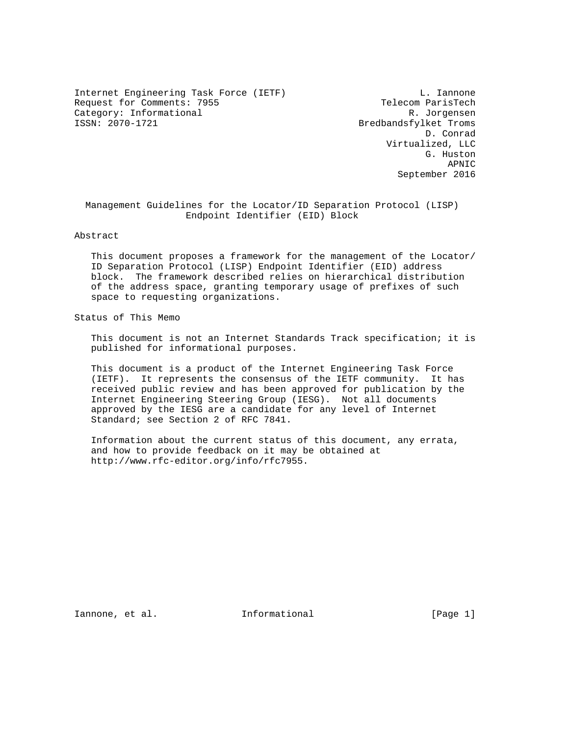Internet Engineering Task Force (IETF) Contract Communications of L. Iannone Request for Comments: 7955 Telecom ParisTech Category: Informational R. Jorgensen<br>
ISSN: 2070-1721 Bredbandsfylket Troms

Bredbandsfylket Troms D. Conrad Virtualized, LLC G. Huston APNIC September 2016

 Management Guidelines for the Locator/ID Separation Protocol (LISP) Endpoint Identifier (EID) Block

Abstract

 This document proposes a framework for the management of the Locator/ ID Separation Protocol (LISP) Endpoint Identifier (EID) address block. The framework described relies on hierarchical distribution of the address space, granting temporary usage of prefixes of such space to requesting organizations.

Status of This Memo

 This document is not an Internet Standards Track specification; it is published for informational purposes.

 This document is a product of the Internet Engineering Task Force (IETF). It represents the consensus of the IETF community. It has received public review and has been approved for publication by the Internet Engineering Steering Group (IESG). Not all documents approved by the IESG are a candidate for any level of Internet Standard; see Section 2 of RFC 7841.

 Information about the current status of this document, any errata, and how to provide feedback on it may be obtained at http://www.rfc-editor.org/info/rfc7955.

Iannone, et al. Informational [Page 1]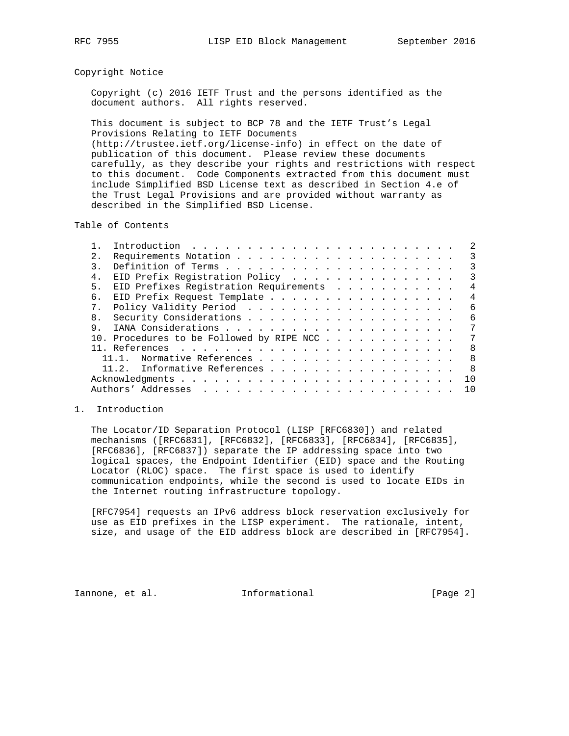## Copyright Notice

 Copyright (c) 2016 IETF Trust and the persons identified as the document authors. All rights reserved.

 This document is subject to BCP 78 and the IETF Trust's Legal Provisions Relating to IETF Documents (http://trustee.ietf.org/license-info) in effect on the date of publication of this document. Please review these documents carefully, as they describe your rights and restrictions with respect to this document. Code Components extracted from this document must include Simplified BSD License text as described in Section 4.e of the Trust Legal Provisions and are provided without warranty as described in the Simplified BSD License.

Table of Contents

| 2.             |                                                | 3  |
|----------------|------------------------------------------------|----|
|                |                                                | 3  |
| $4$ .          | EID Prefix Registration Policy                 | 3  |
| 5.             | EID Prefixes Registration Requirements         | 4  |
| б.             | EID Prefix Request Template                    | 4  |
| 7 <sub>1</sub> |                                                | 6  |
| 8 <sub>1</sub> |                                                | 6  |
| 9.             |                                                | 7  |
|                | 10. Procedures to be Followed by RIPE NCC      | 7  |
|                | - 8                                            |    |
|                | Normative References<br>11.1.                  | -8 |
|                | $\overline{8}$<br>11.2. Informative References |    |
|                | 10                                             |    |
|                | 10                                             |    |
|                |                                                |    |

## 1. Introduction

 The Locator/ID Separation Protocol (LISP [RFC6830]) and related mechanisms ([RFC6831], [RFC6832], [RFC6833], [RFC6834], [RFC6835], [RFC6836], [RFC6837]) separate the IP addressing space into two logical spaces, the Endpoint Identifier (EID) space and the Routing Locator (RLOC) space. The first space is used to identify communication endpoints, while the second is used to locate EIDs in the Internet routing infrastructure topology.

 [RFC7954] requests an IPv6 address block reservation exclusively for use as EID prefixes in the LISP experiment. The rationale, intent, size, and usage of the EID address block are described in [RFC7954].

Iannone, et al. 1nformational 1000 [Page 2]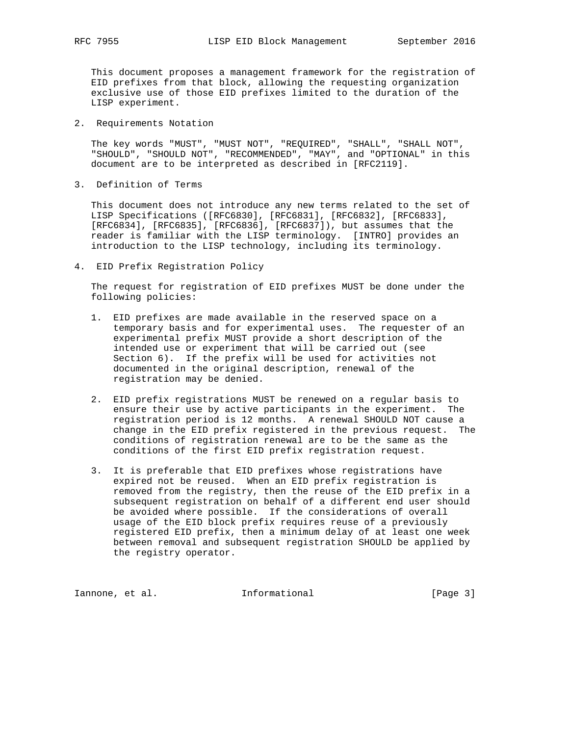This document proposes a management framework for the registration of EID prefixes from that block, allowing the requesting organization exclusive use of those EID prefixes limited to the duration of the LISP experiment.

2. Requirements Notation

 The key words "MUST", "MUST NOT", "REQUIRED", "SHALL", "SHALL NOT", "SHOULD", "SHOULD NOT", "RECOMMENDED", "MAY", and "OPTIONAL" in this document are to be interpreted as described in [RFC2119].

3. Definition of Terms

 This document does not introduce any new terms related to the set of LISP Specifications ([RFC6830], [RFC6831], [RFC6832], [RFC6833], [RFC6834], [RFC6835], [RFC6836], [RFC6837]), but assumes that the reader is familiar with the LISP terminology. [INTRO] provides an introduction to the LISP technology, including its terminology.

4. EID Prefix Registration Policy

 The request for registration of EID prefixes MUST be done under the following policies:

- 1. EID prefixes are made available in the reserved space on a temporary basis and for experimental uses. The requester of an experimental prefix MUST provide a short description of the intended use or experiment that will be carried out (see Section 6). If the prefix will be used for activities not documented in the original description, renewal of the registration may be denied.
- 2. EID prefix registrations MUST be renewed on a regular basis to ensure their use by active participants in the experiment. The registration period is 12 months. A renewal SHOULD NOT cause a change in the EID prefix registered in the previous request. The conditions of registration renewal are to be the same as the conditions of the first EID prefix registration request.
- 3. It is preferable that EID prefixes whose registrations have expired not be reused. When an EID prefix registration is removed from the registry, then the reuse of the EID prefix in a subsequent registration on behalf of a different end user should be avoided where possible. If the considerations of overall usage of the EID block prefix requires reuse of a previously registered EID prefix, then a minimum delay of at least one week between removal and subsequent registration SHOULD be applied by the registry operator.

Iannone, et al. 1nformational [Page 3]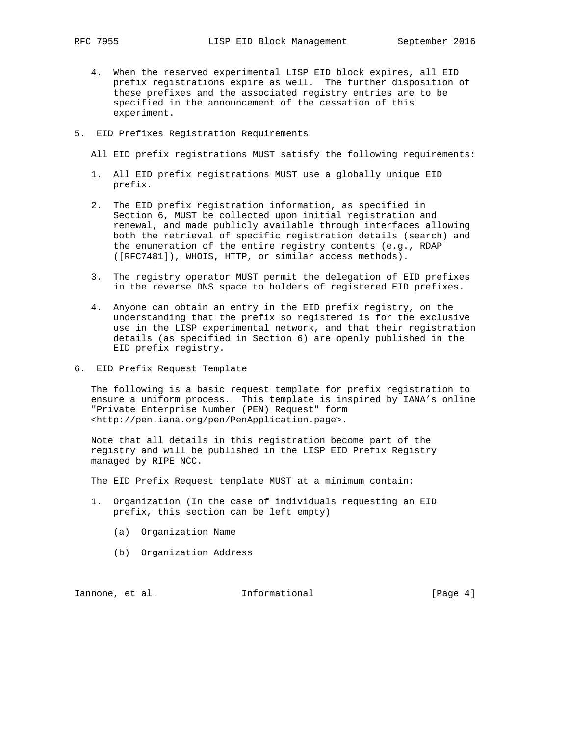- 4. When the reserved experimental LISP EID block expires, all EID prefix registrations expire as well. The further disposition of these prefixes and the associated registry entries are to be specified in the announcement of the cessation of this experiment.
- 5. EID Prefixes Registration Requirements

All EID prefix registrations MUST satisfy the following requirements:

- 1. All EID prefix registrations MUST use a globally unique EID prefix.
- 2. The EID prefix registration information, as specified in Section 6, MUST be collected upon initial registration and renewal, and made publicly available through interfaces allowing both the retrieval of specific registration details (search) and the enumeration of the entire registry contents (e.g., RDAP ([RFC7481]), WHOIS, HTTP, or similar access methods).
- 3. The registry operator MUST permit the delegation of EID prefixes in the reverse DNS space to holders of registered EID prefixes.
- 4. Anyone can obtain an entry in the EID prefix registry, on the understanding that the prefix so registered is for the exclusive use in the LISP experimental network, and that their registration details (as specified in Section 6) are openly published in the EID prefix registry.
- 6. EID Prefix Request Template

 The following is a basic request template for prefix registration to ensure a uniform process. This template is inspired by IANA's online "Private Enterprise Number (PEN) Request" form <http://pen.iana.org/pen/PenApplication.page>.

 Note that all details in this registration become part of the registry and will be published in the LISP EID Prefix Registry managed by RIPE NCC.

The EID Prefix Request template MUST at a minimum contain:

- 1. Organization (In the case of individuals requesting an EID prefix, this section can be left empty)
	- (a) Organization Name
	- (b) Organization Address

Iannone, et al. 1nformational 1000 [Page 4]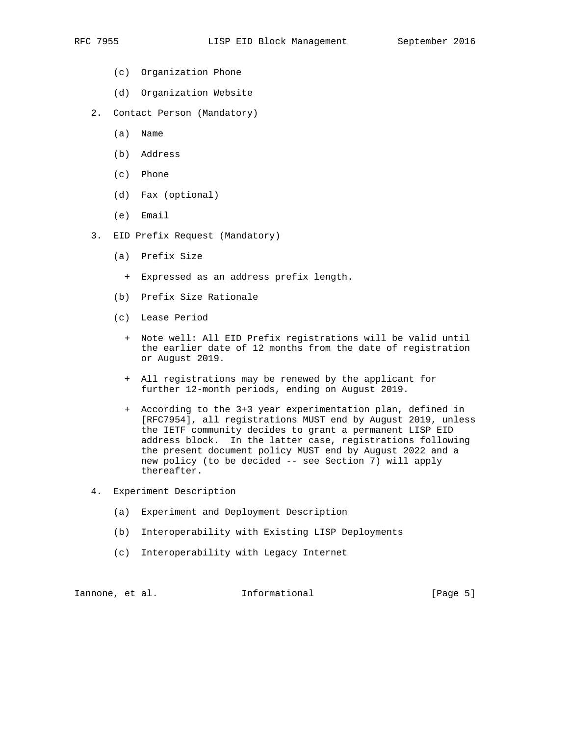- (c) Organization Phone
- (d) Organization Website
- 2. Contact Person (Mandatory)
	- (a) Name
	- (b) Address
	- (c) Phone
	- (d) Fax (optional)
	- (e) Email
- 3. EID Prefix Request (Mandatory)
	- (a) Prefix Size
		- + Expressed as an address prefix length.
	- (b) Prefix Size Rationale
	- (c) Lease Period
		- + Note well: All EID Prefix registrations will be valid until the earlier date of 12 months from the date of registration or August 2019.
		- + All registrations may be renewed by the applicant for further 12-month periods, ending on August 2019.
		- + According to the 3+3 year experimentation plan, defined in [RFC7954], all registrations MUST end by August 2019, unless the IETF community decides to grant a permanent LISP EID address block. In the latter case, registrations following the present document policy MUST end by August 2022 and a new policy (to be decided -- see Section 7) will apply thereafter.
- 4. Experiment Description
	- (a) Experiment and Deployment Description
	- (b) Interoperability with Existing LISP Deployments
	- (c) Interoperability with Legacy Internet

Iannone, et al. 1nformational 1000 [Page 5]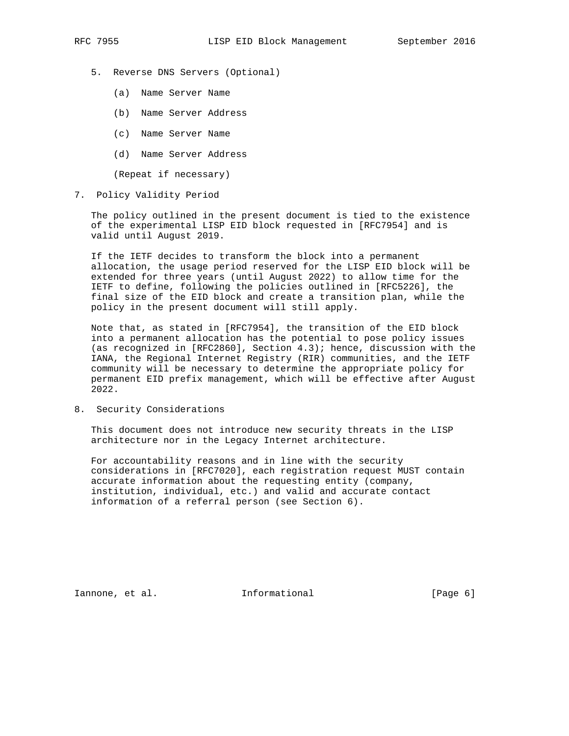- 5. Reverse DNS Servers (Optional)
	- (a) Name Server Name
	- (b) Name Server Address
	- (c) Name Server Name
	- (d) Name Server Address

(Repeat if necessary)

7. Policy Validity Period

 The policy outlined in the present document is tied to the existence of the experimental LISP EID block requested in [RFC7954] and is valid until August 2019.

 If the IETF decides to transform the block into a permanent allocation, the usage period reserved for the LISP EID block will be extended for three years (until August 2022) to allow time for the IETF to define, following the policies outlined in [RFC5226], the final size of the EID block and create a transition plan, while the policy in the present document will still apply.

 Note that, as stated in [RFC7954], the transition of the EID block into a permanent allocation has the potential to pose policy issues (as recognized in [RFC2860], Section 4.3); hence, discussion with the IANA, the Regional Internet Registry (RIR) communities, and the IETF community will be necessary to determine the appropriate policy for permanent EID prefix management, which will be effective after August 2022.

8. Security Considerations

 This document does not introduce new security threats in the LISP architecture nor in the Legacy Internet architecture.

 For accountability reasons and in line with the security considerations in [RFC7020], each registration request MUST contain accurate information about the requesting entity (company, institution, individual, etc.) and valid and accurate contact information of a referral person (see Section 6).

Iannone, et al. 1nformational 1000 [Page 6]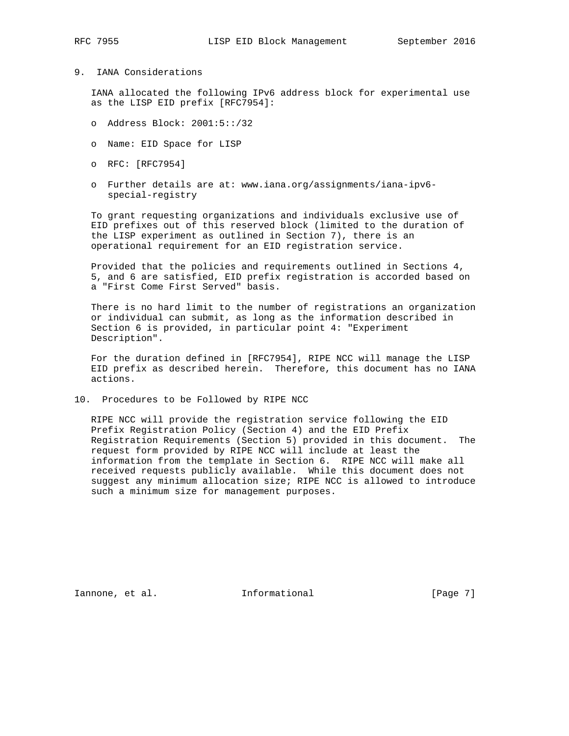## 9. IANA Considerations

 IANA allocated the following IPv6 address block for experimental use as the LISP EID prefix [RFC7954]:

- o Address Block: 2001:5::/32
- o Name: EID Space for LISP
- o RFC: [RFC7954]
- o Further details are at: www.iana.org/assignments/iana-ipv6 special-registry

 To grant requesting organizations and individuals exclusive use of EID prefixes out of this reserved block (limited to the duration of the LISP experiment as outlined in Section 7), there is an operational requirement for an EID registration service.

 Provided that the policies and requirements outlined in Sections 4, 5, and 6 are satisfied, EID prefix registration is accorded based on a "First Come First Served" basis.

 There is no hard limit to the number of registrations an organization or individual can submit, as long as the information described in Section 6 is provided, in particular point 4: "Experiment Description".

 For the duration defined in [RFC7954], RIPE NCC will manage the LISP EID prefix as described herein. Therefore, this document has no IANA actions.

10. Procedures to be Followed by RIPE NCC

 RIPE NCC will provide the registration service following the EID Prefix Registration Policy (Section 4) and the EID Prefix Registration Requirements (Section 5) provided in this document. The request form provided by RIPE NCC will include at least the information from the template in Section 6. RIPE NCC will make all received requests publicly available. While this document does not suggest any minimum allocation size; RIPE NCC is allowed to introduce such a minimum size for management purposes.

Iannone, et al. 1nformational 1000 [Page 7]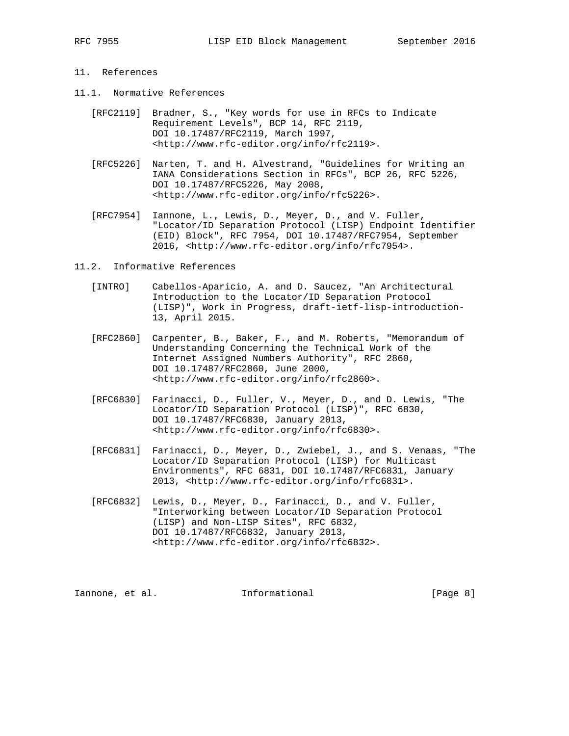## 11. References

- 11.1. Normative References
	- [RFC2119] Bradner, S., "Key words for use in RFCs to Indicate Requirement Levels", BCP 14, RFC 2119, DOI 10.17487/RFC2119, March 1997, <http://www.rfc-editor.org/info/rfc2119>.
	- [RFC5226] Narten, T. and H. Alvestrand, "Guidelines for Writing an IANA Considerations Section in RFCs", BCP 26, RFC 5226, DOI 10.17487/RFC5226, May 2008, <http://www.rfc-editor.org/info/rfc5226>.
	- [RFC7954] Iannone, L., Lewis, D., Meyer, D., and V. Fuller, "Locator/ID Separation Protocol (LISP) Endpoint Identifier (EID) Block", RFC 7954, DOI 10.17487/RFC7954, September 2016, <http://www.rfc-editor.org/info/rfc7954>.
- 11.2. Informative References
	- [INTRO] Cabellos-Aparicio, A. and D. Saucez, "An Architectural Introduction to the Locator/ID Separation Protocol (LISP)", Work in Progress, draft-ietf-lisp-introduction- 13, April 2015.
	- [RFC2860] Carpenter, B., Baker, F., and M. Roberts, "Memorandum of Understanding Concerning the Technical Work of the Internet Assigned Numbers Authority", RFC 2860, DOI 10.17487/RFC2860, June 2000, <http://www.rfc-editor.org/info/rfc2860>.
	- [RFC6830] Farinacci, D., Fuller, V., Meyer, D., and D. Lewis, "The Locator/ID Separation Protocol (LISP)", RFC 6830, DOI 10.17487/RFC6830, January 2013, <http://www.rfc-editor.org/info/rfc6830>.
	- [RFC6831] Farinacci, D., Meyer, D., Zwiebel, J., and S. Venaas, "The Locator/ID Separation Protocol (LISP) for Multicast Environments", RFC 6831, DOI 10.17487/RFC6831, January 2013, <http://www.rfc-editor.org/info/rfc6831>.
	- [RFC6832] Lewis, D., Meyer, D., Farinacci, D., and V. Fuller, "Interworking between Locator/ID Separation Protocol (LISP) and Non-LISP Sites", RFC 6832, DOI 10.17487/RFC6832, January 2013, <http://www.rfc-editor.org/info/rfc6832>.

Iannone, et al. 1nformational 1000 [Page 8]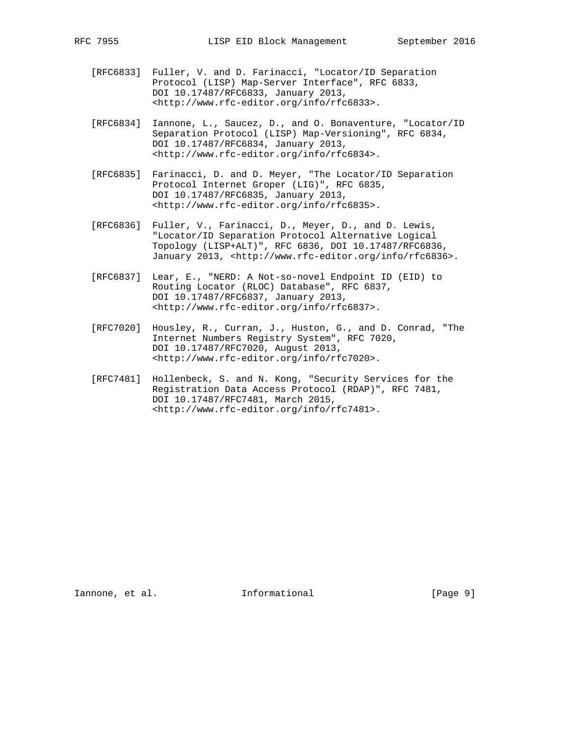- [RFC6833] Fuller, V. and D. Farinacci, "Locator/ID Separation Protocol (LISP) Map-Server Interface", RFC 6833, DOI 10.17487/RFC6833, January 2013, <http://www.rfc-editor.org/info/rfc6833>.
- [RFC6834] Iannone, L., Saucez, D., and O. Bonaventure, "Locator/ID Separation Protocol (LISP) Map-Versioning", RFC 6834, DOI 10.17487/RFC6834, January 2013, <http://www.rfc-editor.org/info/rfc6834>.
- [RFC6835] Farinacci, D. and D. Meyer, "The Locator/ID Separation Protocol Internet Groper (LIG)", RFC 6835, DOI 10.17487/RFC6835, January 2013, <http://www.rfc-editor.org/info/rfc6835>.
- [RFC6836] Fuller, V., Farinacci, D., Meyer, D., and D. Lewis, "Locator/ID Separation Protocol Alternative Logical Topology (LISP+ALT)", RFC 6836, DOI 10.17487/RFC6836, January 2013, <http://www.rfc-editor.org/info/rfc6836>.
- [RFC6837] Lear, E., "NERD: A Not-so-novel Endpoint ID (EID) to Routing Locator (RLOC) Database", RFC 6837, DOI 10.17487/RFC6837, January 2013, <http://www.rfc-editor.org/info/rfc6837>.
- [RFC7020] Housley, R., Curran, J., Huston, G., and D. Conrad, "The Internet Numbers Registry System", RFC 7020, DOI 10.17487/RFC7020, August 2013, <http://www.rfc-editor.org/info/rfc7020>.
- [RFC7481] Hollenbeck, S. and N. Kong, "Security Services for the Registration Data Access Protocol (RDAP)", RFC 7481, DOI 10.17487/RFC7481, March 2015, <http://www.rfc-editor.org/info/rfc7481>.

Iannone, et al. 1nformational 1000 [Page 9]